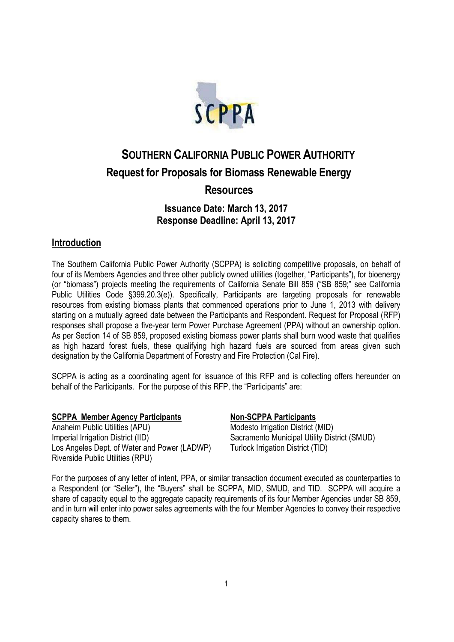

# **SOUTHERN CALIFORNIA PUBLIC POWER AUTHORITY Request for Proposals for Biomass Renewable Energy Resources**

# **Issuance Date: March 13, 2017 Response Deadline: April 13, 2017**

# **Introduction**

The Southern California Public Power Authority (SCPPA) is soliciting competitive proposals, on behalf of four of its Members Agencies and three other publicly owned utilities (together, "Participants"), for bioenergy (or "biomass") projects meeting the requirements of California Senate Bill 859 ("SB 859;" see California Public Utilities Code §399.20.3(e)). Specifically, Participants are targeting proposals for renewable resources from existing biomass plants that commenced operations prior to June 1, 2013 with delivery starting on a mutually agreed date between the Participants and Respondent. Request for Proposal (RFP) responses shall propose a five-year term Power Purchase Agreement (PPA) without an ownership option. As per Section 14 of SB 859, proposed existing biomass power plants shall burn wood waste that qualifies as high hazard forest fuels, these qualifying high hazard fuels are sourced from areas given such designation by the California Department of Forestry and Fire Protection (Cal Fire).

SCPPA is acting as a coordinating agent for issuance of this RFP and is collecting offers hereunder on behalf of the Participants. For the purpose of this RFP, the "Participants" are:

#### **SCPPA Member Agency Participants Non-SCPPA Participants**

Anaheim Public Utilities (APU) Imperial Irrigation District (IID) Los Angeles Dept. of Water and Power (LADWP) Riverside Public Utilities (RPU)

Modesto Irrigation District (MID) Sacramento Municipal Utility District (SMUD) Turlock Irrigation District (TID)

For the purposes of any letter of intent, PPA, or similar transaction document executed as counterparties to a Respondent (or "Seller"), the "Buyers" shall be SCPPA, MID, SMUD, and TID. SCPPA will acquire a share of capacity equal to the aggregate capacity requirements of its four Member Agencies under SB 859, and in turn will enter into power sales agreements with the four Member Agencies to convey their respective capacity shares to them.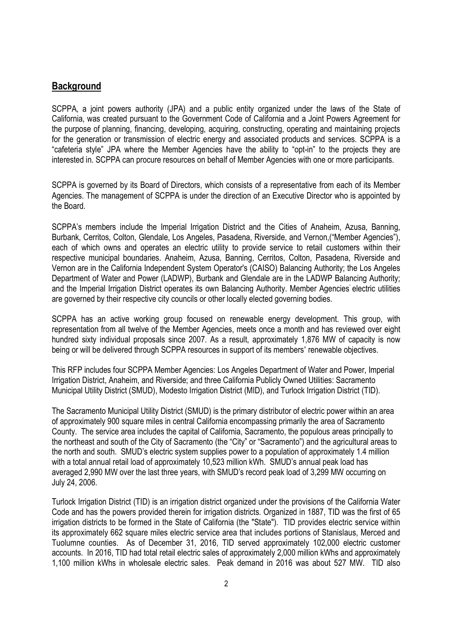#### **Background**

SCPPA, a joint powers authority (JPA) and a public entity organized under the laws of the State of California, was created pursuant to the Government Code of California and a Joint Powers Agreement for the purpose of planning, financing, developing, acquiring, constructing, operating and maintaining projects for the generation or transmission of electric energy and associated products and services. SCPPA is a "cafeteria style" JPA where the Member Agencies have the ability to "opt-in" to the projects they are interested in. SCPPA can procure resources on behalf of Member Agencies with one or more participants.

SCPPA is governed by its Board of Directors, which consists of a representative from each of its Member Agencies. The management of SCPPA is under the direction of an Executive Director who is appointed by the Board.

SCPPA's members include the Imperial Irrigation District and the Cities of Anaheim, Azusa, Banning, Burbank, Cerritos, Colton, Glendale, Los Angeles, Pasadena, Riverside, and Vernon,("Member Agencies"), each of which owns and operates an electric utility to provide service to retail customers within their respective municipal boundaries. Anaheim, Azusa, Banning, Cerritos, Colton, Pasadena, Riverside and Vernon are in the California Independent System Operator's (CAISO) Balancing Authority; the Los Angeles Department of Water and Power (LADWP), Burbank and Glendale are in the LADWP Balancing Authority; and the Imperial Irrigation District operates its own Balancing Authority. Member Agencies' electric utilities are governed by their respective city councils or other locally elected governing bodies.

SCPPA has an active working group focused on renewable energy development. This group, with representation from all twelve of the Member Agencies, meets once a month and has reviewed over eight hundred sixty individual proposals since 2007. As a result, approximately 1,876 MW of capacity is now being or will be delivered through SCPPA resources in support of its members' renewable objectives.

This RFP includes four SCPPA Member Agencies: Los Angeles Department of Water and Power, Imperial Irrigation District, Anaheim, and Riverside; and three California Publicly Owned Utilities: Sacramento Municipal Utility District (SMUD), Modesto Irrigation District (MID), and Turlock Irrigation District (TID).

The Sacramento Municipal Utility District (SMUD) is the primary distributor of electric power within an area of approximately 900 square miles in central California encompassing primarily the area of Sacramento County. The service area includes the capital of California, Sacramento, the populous areas principally to the northeast and south of the City of Sacramento (the "City" or "Sacramento") and the agricultural areas to the north and south. SMUD's electric system supplies power to a population of approximately 1.4 million with a total annual retail load of approximately 10,523 million kWh. SMUD's annual peak load has averaged 2,990 MW over the last three years, with SMUD's record peak load of 3,299 MW occurring on July 24, 2006.

Turlock Irrigation District (TID) is an irrigation district organized under the provisions of the California Water Code and has the powers provided therein for irrigation districts. Organized in 1887, TID was the first of 65 irrigation districts to be formed in the State of California (the "State"). TID provides electric service within its approximately 662 square miles electric service area that includes portions of Stanislaus, Merced and Tuolumne counties. As of December 31, 2016, TID served approximately 102,000 electric customer accounts. In 2016, TID had total retail electric sales of approximately 2,000 million kWhs and approximately 1,100 million kWhs in wholesale electric sales. Peak demand in 2016 was about 527 MW. TID also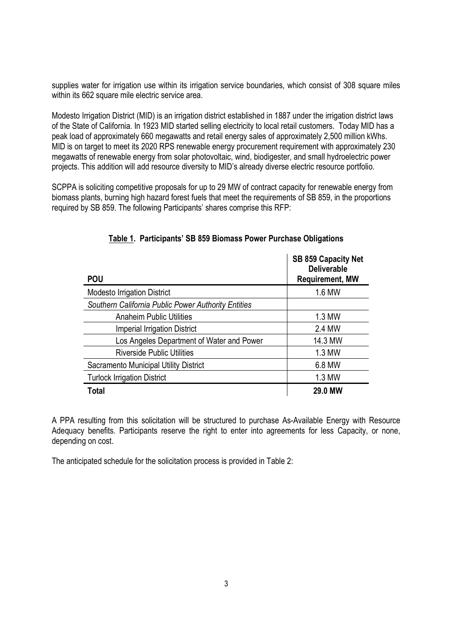supplies water for irrigation use within its irrigation service boundaries, which consist of 308 square miles within its 662 square mile electric service area.

Modesto Irrigation District (MID) is an irrigation district established in 1887 under the irrigation district laws of the State of California. In 1923 MID started selling electricity to local retail customers. Today MID has a peak load of approximately 660 megawatts and retail energy sales of approximately 2,500 million kWhs. MID is on target to meet its 2020 RPS renewable energy procurement requirement with approximately 230 megawatts of renewable energy from solar photovoltaic, wind, biodigester, and small hydroelectric power projects. This addition will add resource diversity to MID's already diverse electric resource portfolio.

SCPPA is soliciting competitive proposals for up to 29 MW of contract capacity for renewable energy from biomass plants, burning high hazard forest fuels that meet the requirements of SB 859, in the proportions required by SB 859. The following Participants' shares comprise this RFP:

| <b>POU</b>                                          | SB 859 Capacity Net<br><b>Deliverable</b><br><b>Requirement, MW</b> |
|-----------------------------------------------------|---------------------------------------------------------------------|
| <b>Modesto Irrigation District</b>                  | 1.6 MW                                                              |
| Southern California Public Power Authority Entities |                                                                     |
| <b>Anaheim Public Utilities</b>                     | 1.3 MW                                                              |
| <b>Imperial Irrigation District</b>                 | 2.4 MW                                                              |
| Los Angeles Department of Water and Power           | 14.3 MW                                                             |
| <b>Riverside Public Utilities</b>                   | 1.3 MW                                                              |
| Sacramento Municipal Utility District               | 6.8 MW                                                              |
| <b>Turlock Irrigation District</b>                  | 1.3 MW                                                              |
| Total                                               | <b>29.0 MW</b>                                                      |

#### **Table 1. Participants' SB 859 Biomass Power Purchase Obligations**

A PPA resulting from this solicitation will be structured to purchase As-Available Energy with Resource Adequacy benefits. Participants reserve the right to enter into agreements for less Capacity, or none, depending on cost.

The anticipated schedule for the solicitation process is provided in Table 2: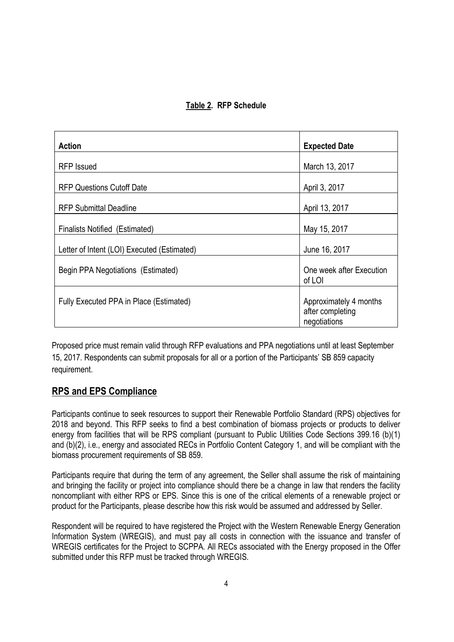### **Table 2. RFP Schedule**

| <b>Action</b>                               | <b>Expected Date</b>                                       |
|---------------------------------------------|------------------------------------------------------------|
| <b>RFP</b> Issued                           | March 13, 2017                                             |
| <b>RFP Questions Cutoff Date</b>            | April 3, 2017                                              |
| <b>RFP Submittal Deadline</b>               | April 13, 2017                                             |
| <b>Finalists Notified (Estimated)</b>       | May 15, 2017                                               |
| Letter of Intent (LOI) Executed (Estimated) | June 16, 2017                                              |
| Begin PPA Negotiations (Estimated)          | One week after Execution<br>of LOI                         |
| Fully Executed PPA in Place (Estimated)     | Approximately 4 months<br>after completing<br>negotiations |

Proposed price must remain valid through RFP evaluations and PPA negotiations until at least September 15, 2017. Respondents can submit proposals for all or a portion of the Participants' SB 859 capacity requirement.

# **RPS and EPS Compliance**

Participants continue to seek resources to support their Renewable Portfolio Standard (RPS) objectives for 2018 and beyond. This RFP seeks to find a best combination of biomass projects or products to deliver energy from facilities that will be RPS compliant (pursuant to Public Utilities Code Sections 399.16 (b)(1) and (b)(2), i.e., energy and associated RECs in Portfolio Content Category 1, and will be compliant with the biomass procurement requirements of SB 859.

Participants require that during the term of any agreement, the Seller shall assume the risk of maintaining and bringing the facility or project into compliance should there be a change in law that renders the facility noncompliant with either RPS or EPS. Since this is one of the critical elements of a renewable project or product for the Participants, please describe how this risk would be assumed and addressed by Seller.

Respondent will be required to have registered the Project with the Western Renewable Energy Generation Information System (WREGIS), and must pay all costs in connection with the issuance and transfer of WREGIS certificates for the Project to SCPPA. All RECs associated with the Energy proposed in the Offer submitted under this RFP must be tracked through WREGIS.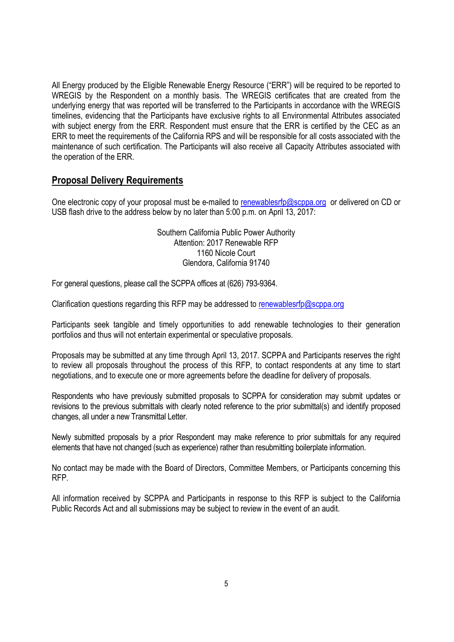All Energy produced by the Eligible Renewable Energy Resource ("ERR") will be required to be reported to WREGIS by the Respondent on a monthly basis. The WREGIS certificates that are created from the underlying energy that was reported will be transferred to the Participants in accordance with the WREGIS timelines, evidencing that the Participants have exclusive rights to all Environmental Attributes associated with subject energy from the ERR. Respondent must ensure that the ERR is certified by the CEC as an ERR to meet the requirements of the California RPS and will be responsible for all costs associated with the maintenance of such certification. The Participants will also receive all Capacity Attributes associated with the operation of the ERR.

### **Proposal Delivery Requirements**

One electronic copy of your proposal must be e-mailed to renewablesrfp@scppa.org or delivered on CD or USB flash drive to the address below by no later than 5:00 p.m. on April 13, 2017:

> Southern California Public Power Authority Attention: 2017 Renewable RFP 1160 Nicole Court Glendora, California 91740

For general questions, please call the SCPPA offices at (626) 793-9364.

Clarification questions regarding this RFP may be addressed to renewablesrfp@scppa.org

Participants seek tangible and timely opportunities to add renewable technologies to their generation portfolios and thus will not entertain experimental or speculative proposals.

Proposals may be submitted at any time through April 13, 2017. SCPPA and Participants reserves the right to review all proposals throughout the process of this RFP, to contact respondents at any time to start negotiations, and to execute one or more agreements before the deadline for delivery of proposals.

Respondents who have previously submitted proposals to SCPPA for consideration may submit updates or revisions to the previous submittals with clearly noted reference to the prior submittal(s) and identify proposed changes, all under a new Transmittal Letter.

Newly submitted proposals by a prior Respondent may make reference to prior submittals for any required elements that have not changed (such as experience) rather than resubmitting boilerplate information.

No contact may be made with the Board of Directors, Committee Members, or Participants concerning this RFP.

All information received by SCPPA and Participants in response to this RFP is subject to the California Public Records Act and all submissions may be subject to review in the event of an audit.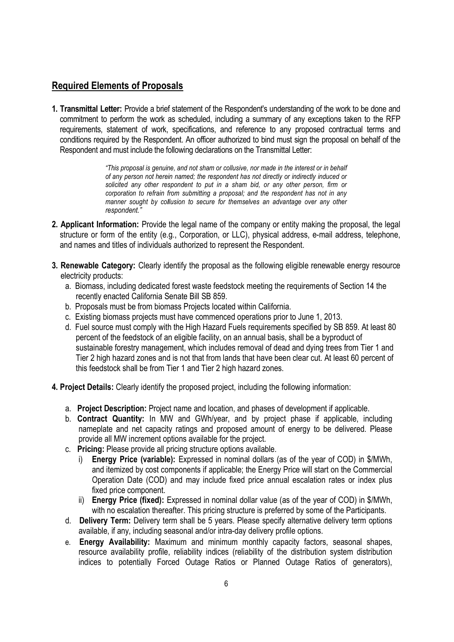# **Required Elements of Proposals**

**1. Transmittal Letter:** Provide a brief statement of the Respondent's understanding of the work to be done and commitment to perform the work as scheduled, including a summary of any exceptions taken to the RFP requirements, statement of work, specifications, and reference to any proposed contractual terms and conditions required by the Respondent. An officer authorized to bind must sign the proposal on behalf of the Respondent and must include the following declarations on the Transmittal Letter:

> *"This proposal is genuine, and not sham or collusive, nor made in the interest or in behalf of any person not herein named; the respondent has not directly or indirectly induced or solicited any other respondent to put in a sham bid, or any other person, firm or corporation to refrain from submitting a proposal; and the respondent has not in any manner sought by collusion to secure for themselves an advantage over any other respondent."*

- **2. Applicant Information:** Provide the legal name of the company or entity making the proposal, the legal structure or form of the entity (e.g., Corporation, or LLC), physical address, e-mail address, telephone, and names and titles of individuals authorized to represent the Respondent.
- **3. Renewable Category:** Clearly identify the proposal as the following eligible renewable energy resource electricity products:
	- a. Biomass, including dedicated forest waste feedstock meeting the requirements of Section 14 the recently enacted California Senate Bill SB 859.
	- b. Proposals must be from biomass Projects located within California.
	- c. Existing biomass projects must have commenced operations prior to June 1, 2013.
	- d. Fuel source must comply with the High Hazard Fuels requirements specified by SB 859. At least 80 percent of the feedstock of an eligible facility, on an annual basis, shall be a byproduct of sustainable forestry management, which includes removal of dead and dying trees from Tier 1 and Tier 2 high hazard zones and is not that from lands that have been clear cut. At least 60 percent of this feedstock shall be from Tier 1 and Tier 2 high hazard zones.
- **4. Project Details:** Clearly identify the proposed project, including the following information:
	- a. **Project Description:** Project name and location, and phases of development if applicable.
	- b. **Contract Quantity:** In MW and GWh/year, and by project phase if applicable, including nameplate and net capacity ratings and proposed amount of energy to be delivered. Please provide all MW increment options available for the project.
	- c. **Pricing:** Please provide all pricing structure options available.
		- **Energy Price (variable):** Expressed in nominal dollars (as of the year of COD) in \$/MWh, and itemized by cost components if applicable; the Energy Price will start on the Commercial Operation Date (COD) and may include fixed price annual escalation rates or index plus fixed price component.
		- ii) **Energy Price (fixed):** Expressed in nominal dollar value (as of the year of COD) in \$/MWh, with no escalation thereafter. This pricing structure is preferred by some of the Participants.
	- d. **Delivery Term:** Delivery term shall be 5 years. Please specify alternative delivery term options available, if any, including seasonal and/or intra-day delivery profile options.
	- e. **Energy Availability:** Maximum and minimum monthly capacity factors, seasonal shapes, resource availability profile, reliability indices (reliability of the distribution system distribution indices to potentially Forced Outage Ratios or Planned Outage Ratios of generators),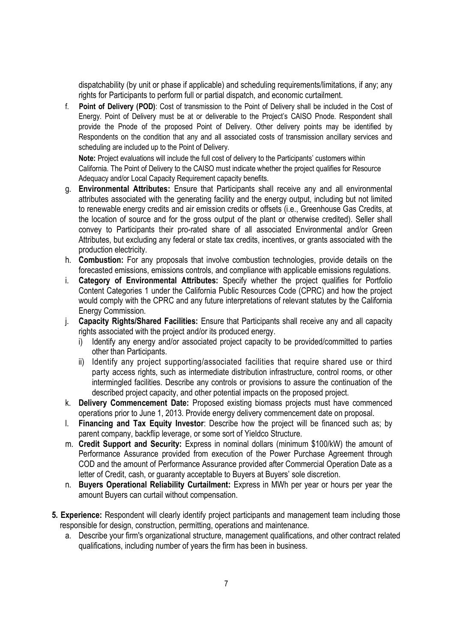dispatchability (by unit or phase if applicable) and scheduling requirements/limitations, if any; any rights for Participants to perform full or partial dispatch, and economic curtailment.

f. **Point of Delivery (POD)**: Cost of transmission to the Point of Delivery shall be included in the Cost of Energy. Point of Delivery must be at or deliverable to the Project's CAISO Pnode. Respondent shall provide the Pnode of the proposed Point of Delivery. Other delivery points may be identified by Respondents on the condition that any and all associated costs of transmission ancillary services and scheduling are included up to the Point of Delivery.

**Note:** Project evaluations will include the full cost of delivery to the Participants' customers within California. The Point of Delivery to the CAISO must indicate whether the project qualifies for Resource Adequacy and/or Local Capacity Requirement capacity benefits.

- g. **Environmental Attributes:** Ensure that Participants shall receive any and all environmental attributes associated with the generating facility and the energy output, including but not limited to renewable energy credits and air emission credits or offsets (i.e., Greenhouse Gas Credits, at the location of source and for the gross output of the plant or otherwise credited). Seller shall convey to Participants their pro-rated share of all associated Environmental and/or Green Attributes, but excluding any federal or state tax credits, incentives, or grants associated with the production electricity.
- h. **Combustion:** For any proposals that involve combustion technologies, provide details on the forecasted emissions, emissions controls, and compliance with applicable emissions regulations.
- i. **Category of Environmental Attributes:** Specify whether the project qualifies for Portfolio Content Categories 1 under the California Public Resources Code (CPRC) and how the project would comply with the CPRC and any future interpretations of relevant statutes by the California Energy Commission.
- j. **Capacity Rights/Shared Facilities:** Ensure that Participants shall receive any and all capacity rights associated with the project and/or its produced energy.
	- i) Identify any energy and/or associated project capacity to be provided/committed to parties other than Participants.
	- ii) Identify any project supporting/associated facilities that require shared use or third party access rights, such as intermediate distribution infrastructure, control rooms, or other intermingled facilities. Describe any controls or provisions to assure the continuation of the described project capacity, and other potential impacts on the proposed project.
- k. **Delivery Commencement Date:** Proposed existing biomass projects must have commenced operations prior to June 1, 2013. Provide energy delivery commencement date on proposal.
- l. **Financing and Tax Equity Investor**: Describe how the project will be financed such as; by parent company, backflip leverage, or some sort of Yieldco Structure.
- m. **Credit Support and Security:** Express in nominal dollars (minimum \$100/kW) the amount of Performance Assurance provided from execution of the Power Purchase Agreement through COD and the amount of Performance Assurance provided after Commercial Operation Date as a letter of Credit, cash, or guaranty acceptable to Buyers at Buyers' sole discretion.
- n. **Buyers Operational Reliability Curtailment:** Express in MWh per year or hours per year the amount Buyers can curtail without compensation.
- **5. Experience:** Respondent will clearly identify project participants and management team including those responsible for design, construction, permitting, operations and maintenance.
	- a. Describe your firm's organizational structure, management qualifications, and other contract related qualifications, including number of years the firm has been in business.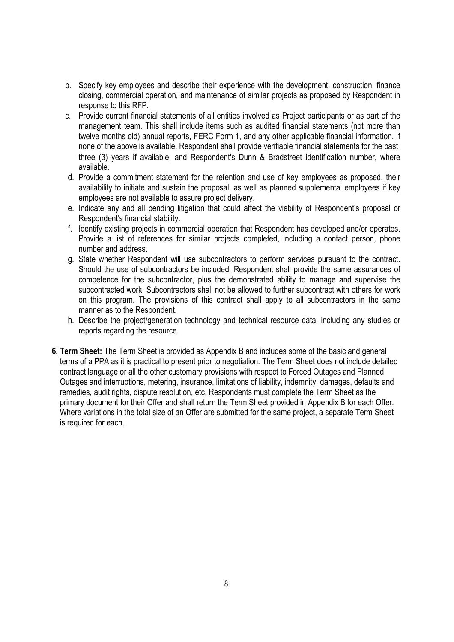- b. Specify key employees and describe their experience with the development, construction, finance closing, commercial operation, and maintenance of similar projects as proposed by Respondent in response to this RFP.
- c. Provide current financial statements of all entities involved as Project participants or as part of the management team. This shall include items such as audited financial statements (not more than twelve months old) annual reports, FERC Form 1, and any other applicable financial information. If none of the above is available, Respondent shall provide verifiable financial statements for the past three (3) years if available, and Respondent's Dunn & Bradstreet identification number, where available.
- d. Provide a commitment statement for the retention and use of key employees as proposed, their availability to initiate and sustain the proposal, as well as planned supplemental employees if key employees are not available to assure project delivery.
- e. Indicate any and all pending litigation that could affect the viability of Respondent's proposal or Respondent's financial stability.
- f. Identify existing projects in commercial operation that Respondent has developed and/or operates. Provide a list of references for similar projects completed, including a contact person, phone number and address.
- g. State whether Respondent will use subcontractors to perform services pursuant to the contract. Should the use of subcontractors be included, Respondent shall provide the same assurances of competence for the subcontractor, plus the demonstrated ability to manage and supervise the subcontracted work. Subcontractors shall not be allowed to further subcontract with others for work on this program. The provisions of this contract shall apply to all subcontractors in the same manner as to the Respondent.
- h. Describe the project/generation technology and technical resource data, including any studies or reports regarding the resource.
- **6. Term Sheet:** The Term Sheet is provided as Appendix B and includes some of the basic and general terms of a PPA as it is practical to present prior to negotiation. The Term Sheet does not include detailed contract language or all the other customary provisions with respect to Forced Outages and Planned Outages and interruptions, metering, insurance, limitations of liability, indemnity, damages, defaults and remedies, audit rights, dispute resolution, etc. Respondents must complete the Term Sheet as the primary document for their Offer and shall return the Term Sheet provided in Appendix B for each Offer. Where variations in the total size of an Offer are submitted for the same project, a separate Term Sheet is required for each.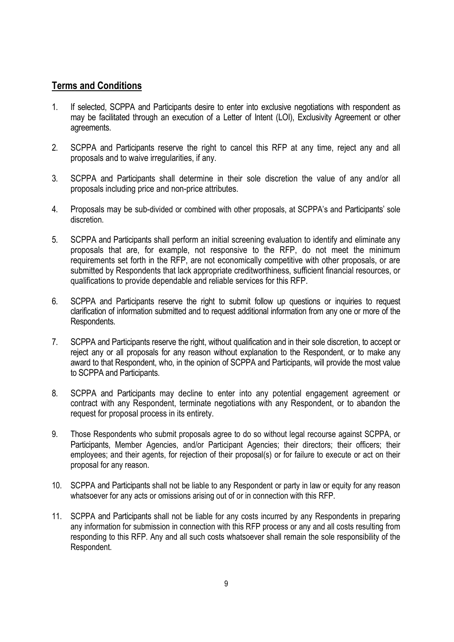#### **Terms and Conditions**

- 1. If selected, SCPPA and Participants desire to enter into exclusive negotiations with respondent as may be facilitated through an execution of a Letter of Intent (LOI), Exclusivity Agreement or other agreements.
- 2. SCPPA and Participants reserve the right to cancel this RFP at any time, reject any and all proposals and to waive irregularities, if any.
- 3. SCPPA and Participants shall determine in their sole discretion the value of any and/or all proposals including price and non-price attributes.
- 4. Proposals may be sub-divided or combined with other proposals, at SCPPA's and Participants' sole discretion.
- 5. SCPPA and Participants shall perform an initial screening evaluation to identify and eliminate any proposals that are, for example, not responsive to the RFP, do not meet the minimum requirements set forth in the RFP, are not economically competitive with other proposals, or are submitted by Respondents that lack appropriate creditworthiness, sufficient financial resources, or qualifications to provide dependable and reliable services for this RFP.
- 6. SCPPA and Participants reserve the right to submit follow up questions or inquiries to request clarification of information submitted and to request additional information from any one or more of the Respondents.
- 7. SCPPA and Participants reserve the right, without qualification and in their sole discretion, to accept or reject any or all proposals for any reason without explanation to the Respondent, or to make any award to that Respondent, who, in the opinion of SCPPA and Participants, will provide the most value to SCPPA and Participants.
- 8. SCPPA and Participants may decline to enter into any potential engagement agreement or contract with any Respondent, terminate negotiations with any Respondent, or to abandon the request for proposal process in its entirety.
- 9. Those Respondents who submit proposals agree to do so without legal recourse against SCPPA, or Participants, Member Agencies, and/or Participant Agencies; their directors; their officers; their employees; and their agents, for rejection of their proposal(s) or for failure to execute or act on their proposal for any reason.
- 10. SCPPA and Participants shall not be liable to any Respondent or party in law or equity for any reason whatsoever for any acts or omissions arising out of or in connection with this RFP.
- 11. SCPPA and Participants shall not be liable for any costs incurred by any Respondents in preparing any information for submission in connection with this RFP process or any and all costs resulting from responding to this RFP. Any and all such costs whatsoever shall remain the sole responsibility of the Respondent.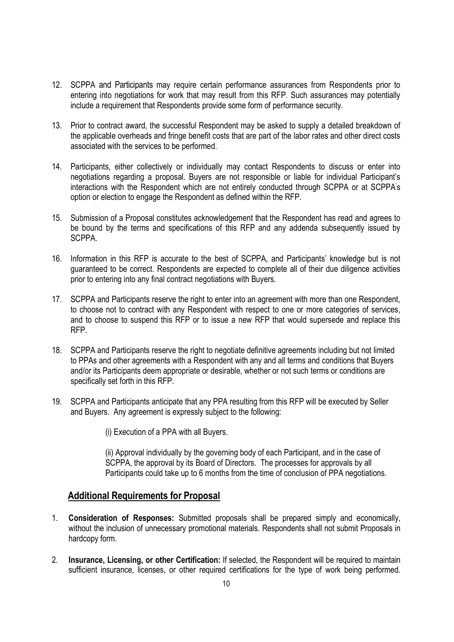- 12. SCPPA and Participants may require certain performance assurances from Respondents prior to entering into negotiations for work that may result from this RFP. Such assurances may potentially include a requirement that Respondents provide some form of performance security.
- 13. Prior to contract award, the successful Respondent may be asked to supply a detailed breakdown of the applicable overheads and fringe benefit costs that are part of the labor rates and other direct costs associated with the services to be performed.
- 14. Participants, either collectively or individually may contact Respondents to discuss or enter into negotiations regarding a proposal. Buyers are not responsible or liable for individual Participant's interactions with the Respondent which are not entirely conducted through SCPPA or at SCPPA's option or election to engage the Respondent as defined within the RFP.
- 15. Submission of a Proposal constitutes acknowledgement that the Respondent has read and agrees to be bound by the terms and specifications of this RFP and any addenda subsequently issued by SCPPA.
- 16. Information in this RFP is accurate to the best of SCPPA, and Participants' knowledge but is not guaranteed to be correct. Respondents are expected to complete all of their due diligence activities prior to entering into any final contract negotiations with Buyers.
- 17. SCPPA and Participants reserve the right to enter into an agreement with more than one Respondent, to choose not to contract with any Respondent with respect to one or more categories of services, and to choose to suspend this RFP or to issue a new RFP that would supersede and replace this RFP.
- 18. SCPPA and Participants reserve the right to negotiate definitive agreements including but not limited to PPAs and other agreements with a Respondent with any and all terms and conditions that Buyers and/or its Participants deem appropriate or desirable, whether or not such terms or conditions are specifically set forth in this RFP.
- 19. SCPPA and Participants anticipate that any PPA resulting from this RFP will be executed by Seller and Buyers. Any agreement is expressly subject to the following:
	- (i) Execution of a PPA with all Buyers.

(ii) Approval individually by the governing body of each Participant, and in the case of SCPPA, the approval by its Board of Directors. The processes for approvals by all Participants could take up to 6 months from the time of conclusion of PPA negotiations.

#### **Additional Requirements for Proposal**

- 1. **Consideration of Responses:** Submitted proposals shall be prepared simply and economically, without the inclusion of unnecessary promotional materials. Respondents shall not submit Proposals in hardcopy form.
- 2. **Insurance, Licensing, or other Certification:** If selected, the Respondent will be required to maintain sufficient insurance, licenses, or other required certifications for the type of work being performed.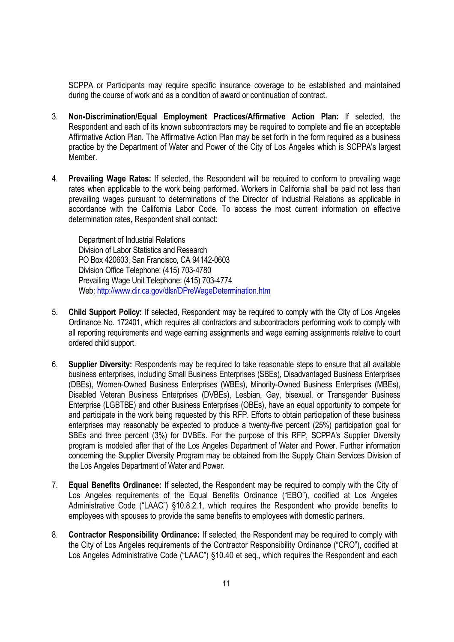SCPPA or Participants may require specific insurance coverage to be established and maintained during the course of work and as a condition of award or continuation of contract.

- 3. **Non-Discrimination/Equal Employment Practices/Affirmative Action Plan:** If selected, the Respondent and each of its known subcontractors may be required to complete and file an acceptable Affirmative Action Plan. The Affirmative Action Plan may be set forth in the form required as a business practice by the Department of Water and Power of the City of Los Angeles which is SCPPA's largest Member.
- 4. **Prevailing Wage Rates:** If selected, the Respondent will be required to conform to prevailing wage rates when applicable to the work being performed. Workers in California shall be paid not less than prevailing wages pursuant to determinations of the Director of Industrial Relations as applicable in accordance with the California Labor Code. To access the most current information on effective determination rates, Respondent shall contact:

Department of Industrial Relations Division of Labor Statistics and Research PO Box 420603, San Francisco, CA 94142-0603 Division Office Telephone: (415) 703-4780 Prevailing Wage Unit Telephone: (415) 703-4774 Web: http://www.dir.ca.gov/dlsr/DPreWageDetermination.htm

- 5. **Child Support Policy:** If selected, Respondent may be required to comply with the City of Los Angeles Ordinance No. 172401, which requires all contractors and subcontractors performing work to comply with all reporting requirements and wage earning assignments and wage earning assignments relative to court ordered child support.
- 6. **Supplier Diversity:** Respondents may be required to take reasonable steps to ensure that all available business enterprises, including Small Business Enterprises (SBEs), Disadvantaged Business Enterprises (DBEs), Women-Owned Business Enterprises (WBEs), Minority-Owned Business Enterprises (MBEs), Disabled Veteran Business Enterprises (DVBEs), Lesbian, Gay, bisexual, or Transgender Business Enterprise (LGBTBE) and other Business Enterprises (OBEs), have an equal opportunity to compete for and participate in the work being requested by this RFP. Efforts to obtain participation of these business enterprises may reasonably be expected to produce a twenty-five percent (25%) participation goal for SBEs and three percent (3%) for DVBEs. For the purpose of this RFP, SCPPA's Supplier Diversity program is modeled after that of the Los Angeles Department of Water and Power. Further information concerning the Supplier Diversity Program may be obtained from the Supply Chain Services Division of the Los Angeles Department of Water and Power.
- 7. **Equal Benefits Ordinance:** If selected, the Respondent may be required to comply with the City of Los Angeles requirements of the Equal Benefits Ordinance ("EBO"), codified at Los Angeles Administrative Code ("LAAC") §10.8.2.1, which requires the Respondent who provide benefits to employees with spouses to provide the same benefits to employees with domestic partners.
- 8. **Contractor Responsibility Ordinance:** If selected, the Respondent may be required to comply with the City of Los Angeles requirements of the Contractor Responsibility Ordinance ("CRO"), codified at Los Angeles Administrative Code ("LAAC") §10.40 et seq., which requires the Respondent and each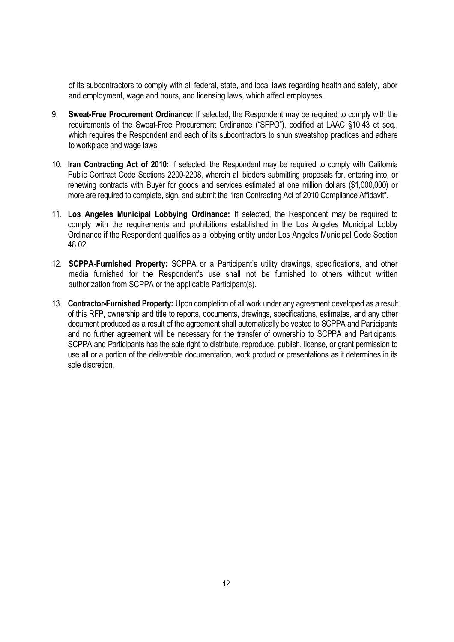of its subcontractors to comply with all federal, state, and local laws regarding health and safety, labor and employment, wage and hours, and licensing laws, which affect employees.

- 9. **Sweat-Free Procurement Ordinance:** If selected, the Respondent may be required to comply with the requirements of the Sweat-Free Procurement Ordinance ("SFPO"), codified at LAAC §10.43 et seq., which requires the Respondent and each of its subcontractors to shun sweatshop practices and adhere to workplace and wage laws.
- 10. **Iran Contracting Act of 2010:** If selected, the Respondent may be required to comply with California Public Contract Code Sections 2200-2208, wherein all bidders submitting proposals for, entering into, or renewing contracts with Buyer for goods and services estimated at one million dollars (\$1,000,000) or more are required to complete, sign, and submit the "Iran Contracting Act of 2010 Compliance Affidavit".
- 11. **Los Angeles Municipal Lobbying Ordinance:** If selected, the Respondent may be required to comply with the requirements and prohibitions established in the Los Angeles Municipal Lobby Ordinance if the Respondent qualifies as a lobbying entity under Los Angeles Municipal Code Section 48.02.
- 12. **SCPPA-Furnished Property:** SCPPA or a Participant's utility drawings, specifications, and other media furnished for the Respondent's use shall not be furnished to others without written authorization from SCPPA or the applicable Participant(s).
- 13. **Contractor-Furnished Property:** Upon completion of all work under any agreement developed as a result of this RFP, ownership and title to reports, documents, drawings, specifications, estimates, and any other document produced as a result of the agreement shall automatically be vested to SCPPA and Participants and no further agreement will be necessary for the transfer of ownership to SCPPA and Participants. SCPPA and Participants has the sole right to distribute, reproduce, publish, license, or grant permission to use all or a portion of the deliverable documentation, work product or presentations as it determines in its sole discretion.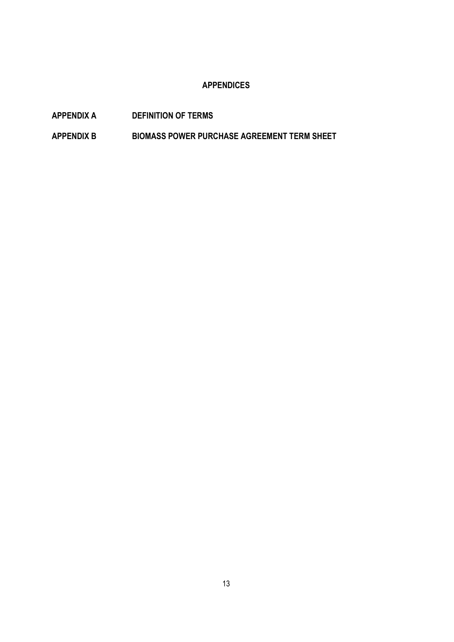#### **APPENDICES**

- **APPENDIX A DEFINITION OF TERMS**
- **APPENDIX B BIOMASS POWER PURCHASE AGREEMENT TERM SHEET**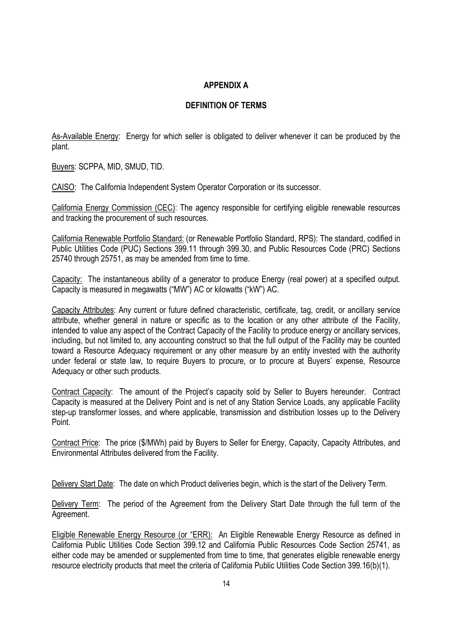#### **APPENDIX A**

#### **DEFINITION OF TERMS**

As-Available Energy: Energy for which seller is obligated to deliver whenever it can be produced by the plant.

Buyers: SCPPA, MID, SMUD, TID.

CAISO: The California Independent System Operator Corporation or its successor.

California Energy Commission (CEC): The agency responsible for certifying eligible renewable resources and tracking the procurement of such resources.

California Renewable Portfolio Standard: (or Renewable Portfolio Standard, RPS): The standard, codified in Public Utilities Code (PUC) Sections 399.11 through 399.30, and Public Resources Code (PRC) Sections 25740 through 25751, as may be amended from time to time.

Capacity: The instantaneous ability of a generator to produce Energy (real power) at a specified output. Capacity is measured in megawatts ("MW") AC or kilowatts ("kW") AC.

Capacity Attributes: Any current or future defined characteristic, certificate, tag, credit, or ancillary service attribute, whether general in nature or specific as to the location or any other attribute of the Facility, intended to value any aspect of the Contract Capacity of the Facility to produce energy or ancillary services, including, but not limited to, any accounting construct so that the full output of the Facility may be counted toward a Resource Adequacy requirement or any other measure by an entity invested with the authority under federal or state law, to require Buyers to procure, or to procure at Buyers' expense, Resource Adequacy or other such products.

Contract Capacity: The amount of the Project's capacity sold by Seller to Buyers hereunder. Contract Capacity is measured at the Delivery Point and is net of any Station Service Loads, any applicable Facility step-up transformer losses, and where applicable, transmission and distribution losses up to the Delivery Point.

Contract Price: The price (\$/MWh) paid by Buyers to Seller for Energy, Capacity, Capacity Attributes, and Environmental Attributes delivered from the Facility.

Delivery Start Date: The date on which Product deliveries begin, which is the start of the Delivery Term.

Delivery Term: The period of the Agreement from the Delivery Start Date through the full term of the Agreement.

Eligible Renewable Energy Resource (or "ERR): An Eligible Renewable Energy Resource as defined in California Public Utilities Code Section 399.12 and California Public Resources Code Section 25741, as either code may be amended or supplemented from time to time, that generates eligible renewable energy resource electricity products that meet the criteria of California Public Utilities Code Section 399.16(b)(1).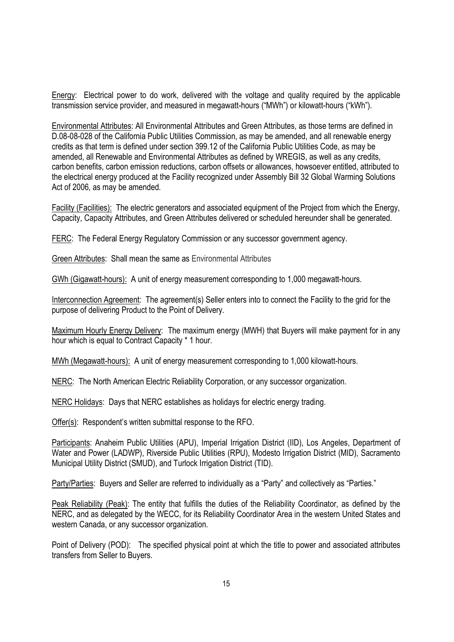Energy: Electrical power to do work, delivered with the voltage and quality required by the applicable transmission service provider, and measured in megawatt-hours ("MWh") or kilowatt-hours ("kWh").

Environmental Attributes: All Environmental Attributes and Green Attributes, as those terms are defined in D.08-08-028 of the California Public Utilities Commission, as may be amended, and all renewable energy credits as that term is defined under section 399.12 of the California Public Utilities Code, as may be amended, all Renewable and Environmental Attributes as defined by WREGIS, as well as any credits, carbon benefits, carbon emission reductions, carbon offsets or allowances, howsoever entitled, attributed to the electrical energy produced at the Facility recognized under Assembly Bill 32 Global Warming Solutions Act of 2006, as may be amended.

Facility (Facilities): The electric generators and associated equipment of the Project from which the Energy, Capacity, Capacity Attributes, and Green Attributes delivered or scheduled hereunder shall be generated.

FERC: The Federal Energy Regulatory Commission or any successor government agency.

Green Attributes: Shall mean the same as Environmental Attributes

GWh (Gigawatt-hours): A unit of energy measurement corresponding to 1,000 megawatt-hours.

Interconnection Agreement: The agreement(s) Seller enters into to connect the Facility to the grid for the purpose of delivering Product to the Point of Delivery.

Maximum Hourly Energy Delivery: The maximum energy (MWH) that Buyers will make payment for in any hour which is equal to Contract Capacity \* 1 hour.

MWh (Megawatt-hours): A unit of energy measurement corresponding to 1,000 kilowatt-hours.

NERC: The North American Electric Reliability Corporation, or any successor organization.

NERC Holidays: Days that NERC establishes as holidays for electric energy trading.

Offer(s): Respondent's written submittal response to the RFO.

Participants: Anaheim Public Utilities (APU), Imperial Irrigation District (IID), Los Angeles, Department of Water and Power (LADWP), Riverside Public Utilities (RPU), Modesto Irrigation District (MID), Sacramento Municipal Utility District (SMUD), and Turlock Irrigation District (TID).

Party/Parties: Buyers and Seller are referred to individually as a "Party" and collectively as "Parties."

Peak Reliability (Peak): The entity that fulfills the duties of the Reliability Coordinator, as defined by the NERC, and as delegated by the WECC, for its Reliability Coordinator Area in the western United States and western Canada, or any successor organization.

Point of Delivery (POD): The specified physical point at which the title to power and associated attributes transfers from Seller to Buyers.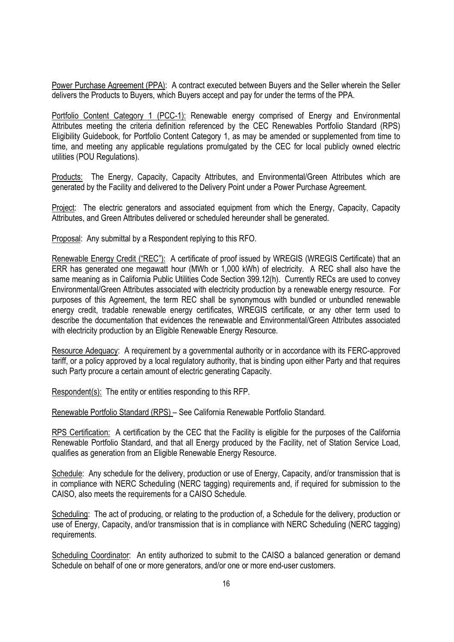Power Purchase Agreement (PPA): A contract executed between Buyers and the Seller wherein the Seller delivers the Products to Buyers, which Buyers accept and pay for under the terms of the PPA.

Portfolio Content Category 1 (PCC-1): Renewable energy comprised of Energy and Environmental Attributes meeting the criteria definition referenced by the CEC Renewables Portfolio Standard (RPS) Eligibility Guidebook, for Portfolio Content Category 1, as may be amended or supplemented from time to time, and meeting any applicable regulations promulgated by the CEC for local publicly owned electric utilities (POU Regulations).

Products: The Energy, Capacity, Capacity Attributes, and Environmental/Green Attributes which are generated by the Facility and delivered to the Delivery Point under a Power Purchase Agreement.

Project: The electric generators and associated equipment from which the Energy, Capacity, Capacity Attributes, and Green Attributes delivered or scheduled hereunder shall be generated.

Proposal: Any submittal by a Respondent replying to this RFO.

Renewable Energy Credit ("REC"): A certificate of proof issued by WREGIS (WREGIS Certificate) that an ERR has generated one megawatt hour (MWh or 1,000 kWh) of electricity. A REC shall also have the same meaning as in California Public Utilities Code Section 399.12(h). Currently RECs are used to convey Environmental/Green Attributes associated with electricity production by a renewable energy resource. For purposes of this Agreement, the term REC shall be synonymous with bundled or unbundled renewable energy credit, tradable renewable energy certificates. WREGIS certificate, or any other term used to describe the documentation that evidences the renewable and Environmental/Green Attributes associated with electricity production by an Eligible Renewable Energy Resource.

Resource Adequacy: A requirement by a governmental authority or in accordance with its FERC-approved tariff, or a policy approved by a local regulatory authority, that is binding upon either Party and that requires such Party procure a certain amount of electric generating Capacity.

Respondent(s): The entity or entities responding to this RFP.

Renewable Portfolio Standard (RPS) – See California Renewable Portfolio Standard.

RPS Certification: A certification by the CEC that the Facility is eligible for the purposes of the California Renewable Portfolio Standard, and that all Energy produced by the Facility, net of Station Service Load, qualifies as generation from an Eligible Renewable Energy Resource.

Schedule: Any schedule for the delivery, production or use of Energy, Capacity, and/or transmission that is in compliance with NERC Scheduling (NERC tagging) requirements and, if required for submission to the CAISO, also meets the requirements for a CAISO Schedule.

Scheduling: The act of producing, or relating to the production of, a Schedule for the delivery, production or use of Energy, Capacity, and/or transmission that is in compliance with NERC Scheduling (NERC tagging) requirements.

Scheduling Coordinator: An entity authorized to submit to the CAISO a balanced generation or demand Schedule on behalf of one or more generators, and/or one or more end-user customers.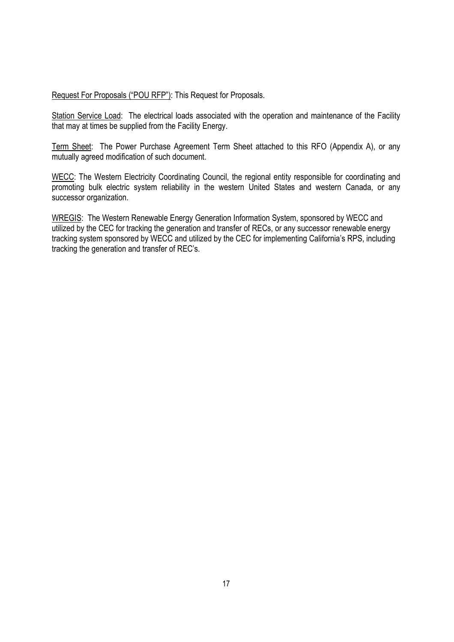Request For Proposals ("POU RFP"): This Request for Proposals.

Station Service Load: The electrical loads associated with the operation and maintenance of the Facility that may at times be supplied from the Facility Energy.

Term Sheet: The Power Purchase Agreement Term Sheet attached to this RFO (Appendix A), or any mutually agreed modification of such document.

WECC: The Western Electricity Coordinating Council, the regional entity responsible for coordinating and promoting bulk electric system reliability in the western United States and western Canada, or any successor organization.

WREGIS: The Western Renewable Energy Generation Information System, sponsored by WECC and utilized by the CEC for tracking the generation and transfer of RECs, or any successor renewable energy tracking system sponsored by WECC and utilized by the CEC for implementing California's RPS, including tracking the generation and transfer of REC's.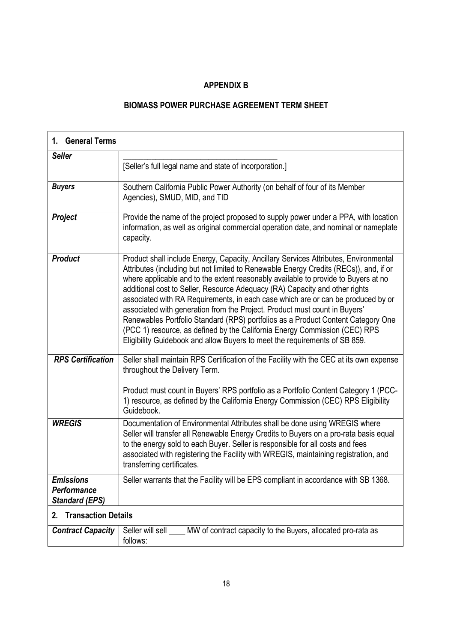#### **APPENDIX B**

# **BIOMASS POWER PURCHASE AGREEMENT TERM SHEET**

| 1. General Terms                                         |                                                                                                                                                                                                                                                                                                                                                                                                                                                                                                                                                                                                                                                                                                                                                                      |  |
|----------------------------------------------------------|----------------------------------------------------------------------------------------------------------------------------------------------------------------------------------------------------------------------------------------------------------------------------------------------------------------------------------------------------------------------------------------------------------------------------------------------------------------------------------------------------------------------------------------------------------------------------------------------------------------------------------------------------------------------------------------------------------------------------------------------------------------------|--|
| <b>Seller</b>                                            | [Seller's full legal name and state of incorporation.]                                                                                                                                                                                                                                                                                                                                                                                                                                                                                                                                                                                                                                                                                                               |  |
| <b>Buyers</b>                                            | Southern California Public Power Authority (on behalf of four of its Member<br>Agencies), SMUD, MID, and TID                                                                                                                                                                                                                                                                                                                                                                                                                                                                                                                                                                                                                                                         |  |
| <b>Project</b>                                           | Provide the name of the project proposed to supply power under a PPA, with location<br>information, as well as original commercial operation date, and nominal or nameplate<br>capacity.                                                                                                                                                                                                                                                                                                                                                                                                                                                                                                                                                                             |  |
| <b>Product</b>                                           | Product shall include Energy, Capacity, Ancillary Services Attributes, Environmental<br>Attributes (including but not limited to Renewable Energy Credits (RECs)), and, if or<br>where applicable and to the extent reasonably available to provide to Buyers at no<br>additional cost to Seller, Resource Adequacy (RA) Capacity and other rights<br>associated with RA Requirements, in each case which are or can be produced by or<br>associated with generation from the Project. Product must count in Buyers'<br>Renewables Portfolio Standard (RPS) portfolios as a Product Content Category One<br>(PCC 1) resource, as defined by the California Energy Commission (CEC) RPS<br>Eligibility Guidebook and allow Buyers to meet the requirements of SB 859. |  |
| <b>RPS Certification</b>                                 | Seller shall maintain RPS Certification of the Facility with the CEC at its own expense<br>throughout the Delivery Term.<br>Product must count in Buyers' RPS portfolio as a Portfolio Content Category 1 (PCC-<br>1) resource, as defined by the California Energy Commission (CEC) RPS Eligibility<br>Guidebook.                                                                                                                                                                                                                                                                                                                                                                                                                                                   |  |
| <b>WREGIS</b>                                            | Documentation of Environmental Attributes shall be done using WREGIS where<br>Seller will transfer all Renewable Energy Credits to Buyers on a pro-rata basis equal<br>to the energy sold to each Buyer. Seller is responsible for all costs and fees<br>associated with registering the Facility with WREGIS, maintaining registration, and<br>transferring certificates.                                                                                                                                                                                                                                                                                                                                                                                           |  |
| <b>Emissions</b><br>Performance<br><b>Standard (EPS)</b> | Seller warrants that the Facility will be EPS compliant in accordance with SB 1368.                                                                                                                                                                                                                                                                                                                                                                                                                                                                                                                                                                                                                                                                                  |  |
| <b>Transaction Details</b><br>2.                         |                                                                                                                                                                                                                                                                                                                                                                                                                                                                                                                                                                                                                                                                                                                                                                      |  |
| <b>Contract Capacity</b>                                 | MW of contract capacity to the Buyers, allocated pro-rata as<br>Seller will sell<br>follows:                                                                                                                                                                                                                                                                                                                                                                                                                                                                                                                                                                                                                                                                         |  |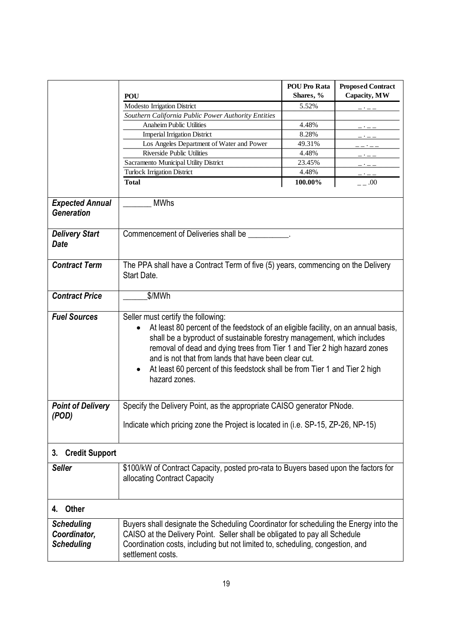|                                                        | <b>POU</b>                                                                                                                                                                                                                                                                                                                                                                                                                            | <b>POU Pro Rata</b><br>Shares, % | <b>Proposed Contract</b><br>Capacity, MW |  |
|--------------------------------------------------------|---------------------------------------------------------------------------------------------------------------------------------------------------------------------------------------------------------------------------------------------------------------------------------------------------------------------------------------------------------------------------------------------------------------------------------------|----------------------------------|------------------------------------------|--|
|                                                        | Modesto Irrigation District                                                                                                                                                                                                                                                                                                                                                                                                           | 5.52%                            |                                          |  |
|                                                        | Southern California Public Power Authority Entities                                                                                                                                                                                                                                                                                                                                                                                   |                                  |                                          |  |
|                                                        | <b>Anaheim Public Utilities</b>                                                                                                                                                                                                                                                                                                                                                                                                       | 4.48%                            |                                          |  |
|                                                        | <b>Imperial Irrigation District</b>                                                                                                                                                                                                                                                                                                                                                                                                   | 8.28%                            |                                          |  |
|                                                        | Los Angeles Department of Water and Power                                                                                                                                                                                                                                                                                                                                                                                             | 49.31%                           |                                          |  |
|                                                        | Riverside Public Utilities                                                                                                                                                                                                                                                                                                                                                                                                            | 4.48%                            |                                          |  |
|                                                        | Sacramento Municipal Utility District                                                                                                                                                                                                                                                                                                                                                                                                 | 23.45%                           |                                          |  |
|                                                        | Turlock Irrigation District                                                                                                                                                                                                                                                                                                                                                                                                           | 4.48%                            |                                          |  |
|                                                        | <b>Total</b>                                                                                                                                                                                                                                                                                                                                                                                                                          | 100.00%                          | .00                                      |  |
| <b>Expected Annual</b><br><b>Generation</b>            | <b>MWhs</b>                                                                                                                                                                                                                                                                                                                                                                                                                           |                                  |                                          |  |
| <b>Delivery Start</b><br><b>Date</b>                   | Commencement of Deliveries shall be __________.                                                                                                                                                                                                                                                                                                                                                                                       |                                  |                                          |  |
| <b>Contract Term</b>                                   | The PPA shall have a Contract Term of five (5) years, commencing on the Delivery<br>Start Date.                                                                                                                                                                                                                                                                                                                                       |                                  |                                          |  |
| <b>Contract Price</b>                                  | \$/MWh                                                                                                                                                                                                                                                                                                                                                                                                                                |                                  |                                          |  |
| <b>Fuel Sources</b>                                    | Seller must certify the following:<br>At least 80 percent of the feedstock of an eligible facility, on an annual basis,<br>shall be a byproduct of sustainable forestry management, which includes<br>removal of dead and dying trees from Tier 1 and Tier 2 high hazard zones<br>and is not that from lands that have been clear cut.<br>At least 60 percent of this feedstock shall be from Tier 1 and Tier 2 high<br>hazard zones. |                                  |                                          |  |
| <b>Point of Delivery</b><br>(POD)                      | Specify the Delivery Point, as the appropriate CAISO generator PNode.<br>Indicate which pricing zone the Project is located in (i.e. SP-15, ZP-26, NP-15)                                                                                                                                                                                                                                                                             |                                  |                                          |  |
| <b>Credit Support</b><br>3.                            |                                                                                                                                                                                                                                                                                                                                                                                                                                       |                                  |                                          |  |
| <b>Seller</b>                                          | \$100/kW of Contract Capacity, posted pro-rata to Buyers based upon the factors for<br>allocating Contract Capacity                                                                                                                                                                                                                                                                                                                   |                                  |                                          |  |
| Other<br>4.                                            |                                                                                                                                                                                                                                                                                                                                                                                                                                       |                                  |                                          |  |
| <b>Scheduling</b><br>Coordinator,<br><b>Scheduling</b> | Buyers shall designate the Scheduling Coordinator for scheduling the Energy into the<br>CAISO at the Delivery Point. Seller shall be obligated to pay all Schedule<br>Coordination costs, including but not limited to, scheduling, congestion, and<br>settlement costs.                                                                                                                                                              |                                  |                                          |  |